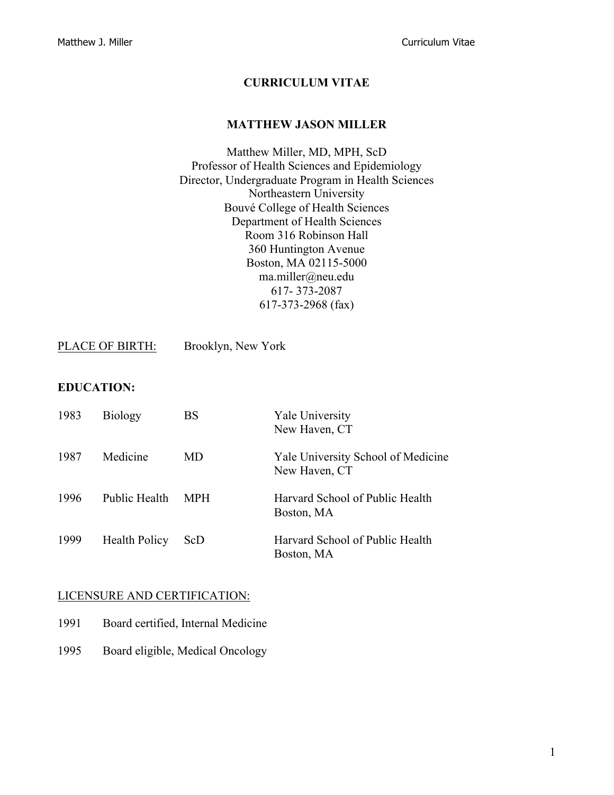# **CURRICULUM VITAE**

#### **MATTHEW JASON MILLER**

Matthew Miller, MD, MPH, ScD Professor of Health Sciences and Epidemiology Director, Undergraduate Program in Health Sciences Northeastern University Bouvé College of Health Sciences Department of Health Sciences Room 316 Robinson Hall 360 Huntington Avenue Boston, MA 02115-5000 ma.miller@neu.edu 617- 373-2087 617-373-2968 (fax)

PLACE OF BIRTH: Brooklyn, New York

### **EDUCATION:**

| 1983 | <b>Biology</b>       | BS         | <b>Yale University</b><br>New Haven, CT             |
|------|----------------------|------------|-----------------------------------------------------|
| 1987 | Medicine             | MD         | Yale University School of Medicine<br>New Haven, CT |
| 1996 | Public Health        | <b>MPH</b> | Harvard School of Public Health<br>Boston, MA       |
| 1999 | <b>Health Policy</b> | ScD        | Harvard School of Public Health<br>Boston, MA       |

#### LICENSURE AND CERTIFICATION:

- 1991 Board certified, Internal Medicine
- 1995 Board eligible, Medical Oncology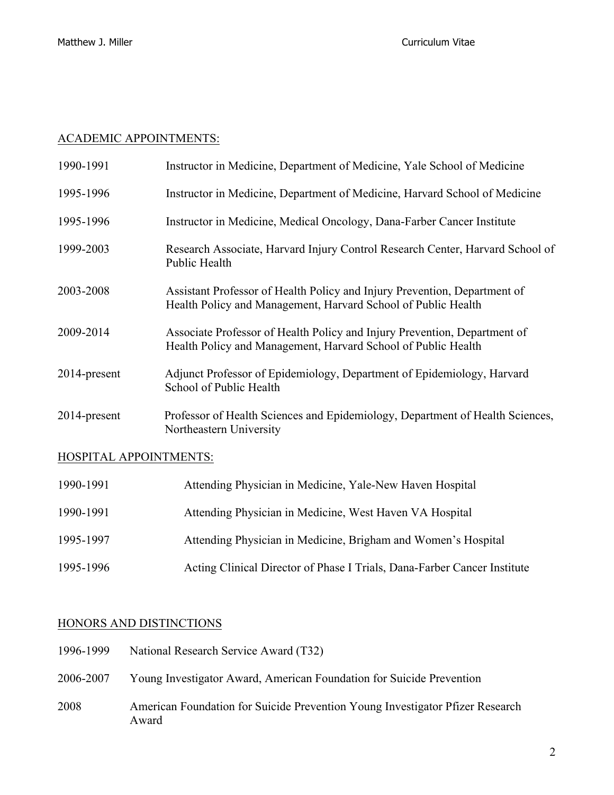### ACADEMIC APPOINTMENTS:

| 1990-1991    | Instructor in Medicine, Department of Medicine, Yale School of Medicine                                                                    |
|--------------|--------------------------------------------------------------------------------------------------------------------------------------------|
| 1995-1996    | Instructor in Medicine, Department of Medicine, Harvard School of Medicine                                                                 |
| 1995-1996    | Instructor in Medicine, Medical Oncology, Dana-Farber Cancer Institute                                                                     |
| 1999-2003    | Research Associate, Harvard Injury Control Research Center, Harvard School of<br>Public Health                                             |
| 2003-2008    | Assistant Professor of Health Policy and Injury Prevention, Department of<br>Health Policy and Management, Harvard School of Public Health |
| 2009-2014    | Associate Professor of Health Policy and Injury Prevention, Department of<br>Health Policy and Management, Harvard School of Public Health |
| 2014-present | Adjunct Professor of Epidemiology, Department of Epidemiology, Harvard<br>School of Public Health                                          |
| 2014-present | Professor of Health Sciences and Epidemiology, Department of Health Sciences,<br>Northeastern University                                   |

# HOSPITAL APPOINTMENTS:

| 1990-1991 | Attending Physician in Medicine, Yale-New Haven Hospital                 |
|-----------|--------------------------------------------------------------------------|
| 1990-1991 | Attending Physician in Medicine, West Haven VA Hospital                  |
| 1995-1997 | Attending Physician in Medicine, Brigham and Women's Hospital            |
| 1995-1996 | Acting Clinical Director of Phase I Trials, Dana-Farber Cancer Institute |

# HONORS AND DISTINCTIONS

- 1996-1999 National Research Service Award (T32)
- 2006-2007 Young Investigator Award, American Foundation for Suicide Prevention
- 2008 American Foundation for Suicide Prevention Young Investigator Pfizer Research Award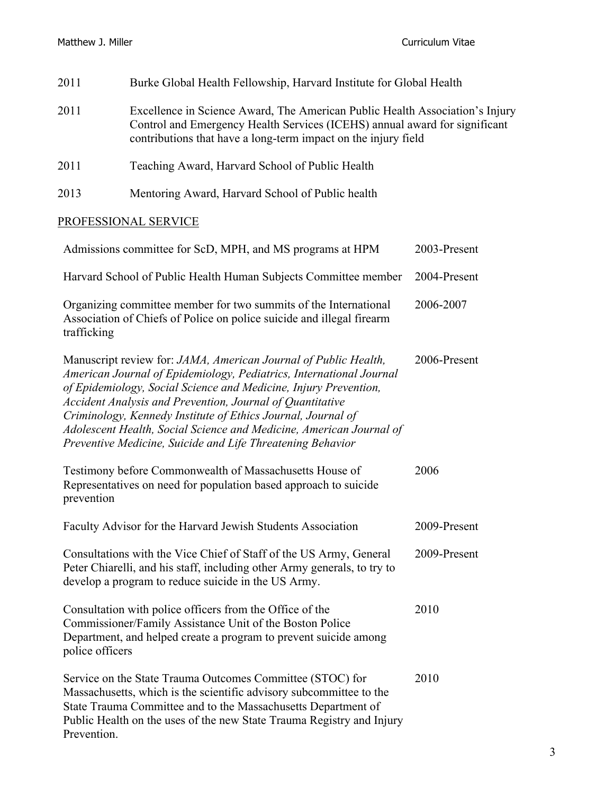| 2011 | Burke Global Health Fellowship, Harvard Institute for Global Health                                                                                                                                                          |
|------|------------------------------------------------------------------------------------------------------------------------------------------------------------------------------------------------------------------------------|
| 2011 | Excellence in Science Award, The American Public Health Association's Injury<br>Control and Emergency Health Services (ICEHS) annual award for significant<br>contributions that have a long-term impact on the injury field |
| 2011 | Teaching Award, Harvard School of Public Health                                                                                                                                                                              |
| 2013 | Mentoring Award, Harvard School of Public health                                                                                                                                                                             |

# PROFESSIONAL SERVICE

| Admissions committee for ScD, MPH, and MS programs at HPM                                                                                                                                                                                                                                                                                                                                                                                                                    | 2003-Present |
|------------------------------------------------------------------------------------------------------------------------------------------------------------------------------------------------------------------------------------------------------------------------------------------------------------------------------------------------------------------------------------------------------------------------------------------------------------------------------|--------------|
| Harvard School of Public Health Human Subjects Committee member                                                                                                                                                                                                                                                                                                                                                                                                              | 2004-Present |
| Organizing committee member for two summits of the International<br>Association of Chiefs of Police on police suicide and illegal firearm<br>trafficking                                                                                                                                                                                                                                                                                                                     | 2006-2007    |
| Manuscript review for: JAMA, American Journal of Public Health,<br>American Journal of Epidemiology, Pediatrics, International Journal<br>of Epidemiology, Social Science and Medicine, Injury Prevention,<br>Accident Analysis and Prevention, Journal of Quantitative<br>Criminology, Kennedy Institute of Ethics Journal, Journal of<br>Adolescent Health, Social Science and Medicine, American Journal of<br>Preventive Medicine, Suicide and Life Threatening Behavior | 2006-Present |
| Testimony before Commonwealth of Massachusetts House of<br>Representatives on need for population based approach to suicide<br>prevention                                                                                                                                                                                                                                                                                                                                    | 2006         |
| Faculty Advisor for the Harvard Jewish Students Association                                                                                                                                                                                                                                                                                                                                                                                                                  | 2009-Present |
| Consultations with the Vice Chief of Staff of the US Army, General<br>Peter Chiarelli, and his staff, including other Army generals, to try to<br>develop a program to reduce suicide in the US Army.                                                                                                                                                                                                                                                                        | 2009-Present |
| Consultation with police officers from the Office of the<br>Commissioner/Family Assistance Unit of the Boston Police<br>Department, and helped create a program to prevent suicide among<br>police officers                                                                                                                                                                                                                                                                  | 2010         |
| Service on the State Trauma Outcomes Committee (STOC) for<br>Massachusetts, which is the scientific advisory subcommittee to the<br>State Trauma Committee and to the Massachusetts Department of<br>Public Health on the uses of the new State Trauma Registry and Injury<br>Prevention.                                                                                                                                                                                    | 2010         |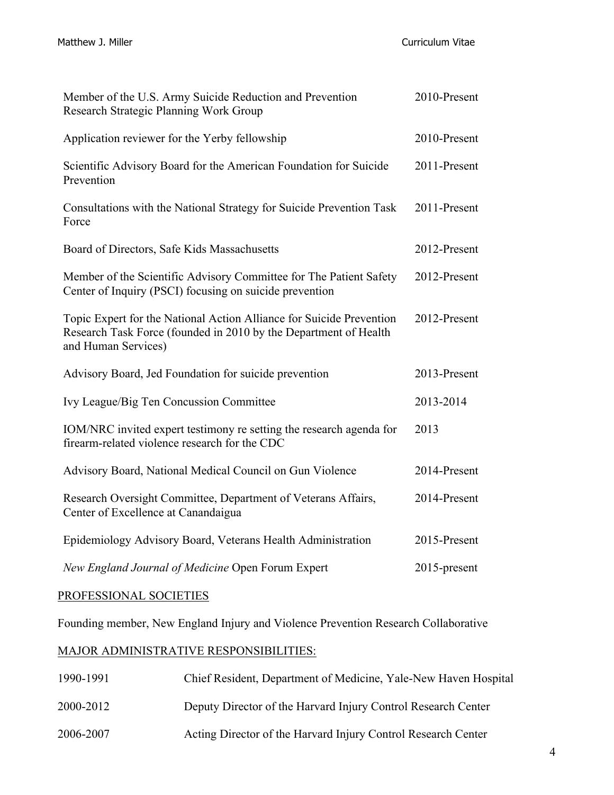| Member of the U.S. Army Suicide Reduction and Prevention<br>Research Strategic Planning Work Group                                                              | 2010-Present |
|-----------------------------------------------------------------------------------------------------------------------------------------------------------------|--------------|
| Application reviewer for the Yerby fellowship                                                                                                                   | 2010-Present |
| Scientific Advisory Board for the American Foundation for Suicide<br>Prevention                                                                                 | 2011-Present |
| Consultations with the National Strategy for Suicide Prevention Task<br>Force                                                                                   | 2011-Present |
| Board of Directors, Safe Kids Massachusetts                                                                                                                     | 2012-Present |
| Member of the Scientific Advisory Committee for The Patient Safety<br>Center of Inquiry (PSCI) focusing on suicide prevention                                   | 2012-Present |
| Topic Expert for the National Action Alliance for Suicide Prevention<br>Research Task Force (founded in 2010 by the Department of Health<br>and Human Services) | 2012-Present |
| Advisory Board, Jed Foundation for suicide prevention                                                                                                           | 2013-Present |
| Ivy League/Big Ten Concussion Committee                                                                                                                         | 2013-2014    |
| IOM/NRC invited expert testimony re setting the research agenda for<br>firearm-related violence research for the CDC                                            | 2013         |
| Advisory Board, National Medical Council on Gun Violence                                                                                                        | 2014-Present |
| Research Oversight Committee, Department of Veterans Affairs,<br>Center of Excellence at Canandaigua                                                            | 2014-Present |
| Epidemiology Advisory Board, Veterans Health Administration                                                                                                     | 2015-Present |
| New England Journal of Medicine Open Forum Expert                                                                                                               | 2015-present |

# PROFESSIONAL SOCIETIES

Founding member, New England Injury and Violence Prevention Research Collaborative

# MAJOR ADMINISTRATIVE RESPONSIBILITIES:

| 1990-1991 | Chief Resident, Department of Medicine, Yale-New Haven Hospital |
|-----------|-----------------------------------------------------------------|
| 2000-2012 | Deputy Director of the Harvard Injury Control Research Center   |
| 2006-2007 | Acting Director of the Harvard Injury Control Research Center   |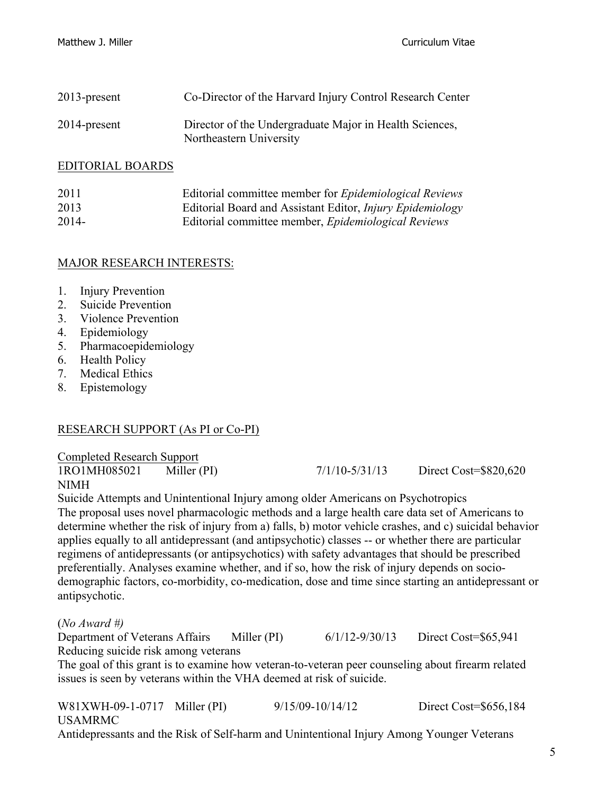| $2013$ -present | Co-Director of the Harvard Injury Control Research Center                          |
|-----------------|------------------------------------------------------------------------------------|
| 2014-present    | Director of the Undergraduate Major in Health Sciences,<br>Northeastern University |

#### EDITORIAL BOARDS

| 2011  | Editorial committee member for <i>Epidemiological Reviews</i>    |
|-------|------------------------------------------------------------------|
| 2013  | Editorial Board and Assistant Editor, <i>Injury Epidemiology</i> |
| 2014- | Editorial committee member, <i>Epidemiological Reviews</i>       |

### MAJOR RESEARCH INTERESTS:

- 1. Injury Prevention
- 2. Suicide Prevention
- 3. Violence Prevention
- 4. Epidemiology
- 5. Pharmacoepidemiology
- 6. Health Policy
- 7. Medical Ethics
- 8. Epistemology

#### RESEARCH SUPPORT (As PI or Co-PI)

Completed Research Support NIMH

1RO1MH085021 Miller (PI) 7/1/10-5/31/13 Direct Cost=\$820,620

Suicide Attempts and Unintentional Injury among older Americans on Psychotropics The proposal uses novel pharmacologic methods and a large health care data set of Americans to determine whether the risk of injury from a) falls, b) motor vehicle crashes, and c) suicidal behavior applies equally to all antidepressant (and antipsychotic) classes -- or whether there are particular regimens of antidepressants (or antipsychotics) with safety advantages that should be prescribed preferentially. Analyses examine whether, and if so, how the risk of injury depends on sociodemographic factors, co-morbidity, co-medication, dose and time since starting an antidepressant or antipsychotic.

#### (*No Award #)*

Department of Veterans Affairs Miller (PI) 6/1/12-9/30/13 Direct Cost=\$65,941 Reducing suicide risk among veterans

The goal of this grant is to examine how veteran-to-veteran peer counseling about firearm related issues is seen by veterans within the VHA deemed at risk of suicide.

W81XWH-09-1-0717 Miller (PI) 9/15/09-10/14/12 Direct Cost=\$656,184 USAMRMC Antidepressants and the Risk of Self-harm and Unintentional Injury Among Younger Veterans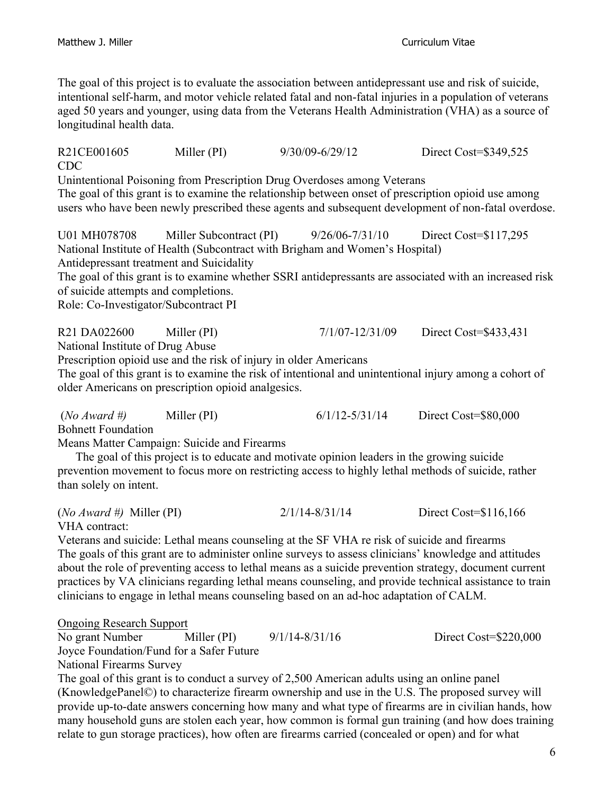The goal of this project is to evaluate the association between antidepressant use and risk of suicide, intentional self-harm, and motor vehicle related fatal and non-fatal injuries in a population of veterans aged 50 years and younger, using data from the Veterans Health Administration (VHA) as a source of longitudinal health data.

R21CE001605 Miller (PI) 9/30/09-6/29/12 Direct Cost=\$349,525 CDC

Unintentional Poisoning from Prescription Drug Overdoses among Veterans The goal of this grant is to examine the relationship between onset of prescription opioid use among users who have been newly prescribed these agents and subsequent development of non-fatal overdose.

U01 MH078708 Miller Subcontract (PI) 9/26/06-7/31/10 Direct Cost=\$117,295 National Institute of Health (Subcontract with Brigham and Women's Hospital) Antidepressant treatment and Suicidality

The goal of this grant is to examine whether SSRI antidepressants are associated with an increased risk of suicide attempts and completions.

Role: Co-Investigator/Subcontract PI

R21 DA022600 Miller (PI) 7/1/07-12/31/09 Direct Cost=\$433,431

National Institute of Drug Abuse

Prescription opioid use and the risk of injury in older Americans

The goal of this grant is to examine the risk of intentional and unintentional injury among a cohort of older Americans on prescription opioid analgesics.

(*No Award #)* Miller (PI) 6/1/12-5/31/14 Direct Cost=\$80,000

Bohnett Foundation

Means Matter Campaign: Suicide and Firearms

The goal of this project is to educate and motivate opinion leaders in the growing suicide prevention movement to focus more on restricting access to highly lethal methods of suicide, rather than solely on intent.

(*No Award #)* Miller (PI) 2/1/14-8/31/14 Direct Cost=\$116,166

VHA contract:

Veterans and suicide: Lethal means counseling at the SF VHA re risk of suicide and firearms The goals of this grant are to administer online surveys to assess clinicians' knowledge and attitudes about the role of preventing access to lethal means as a suicide prevention strategy, document current practices by VA clinicians regarding lethal means counseling, and provide technical assistance to train clinicians to engage in lethal means counseling based on an ad-hoc adaptation of CALM.

Ongoing Research Support

No grant Number Miller (PI) 9/1/14-8/31/16 Direct Cost=\$220,000 Joyce Foundation/Fund for a Safer Future National Firearms Survey

The goal of this grant is to conduct a survey of 2,500 American adults using an online panel (KnowledgePanel©) to characterize firearm ownership and use in the U.S. The proposed survey will provide up-to-date answers concerning how many and what type of firearms are in civilian hands, how many household guns are stolen each year, how common is formal gun training (and how does training relate to gun storage practices), how often are firearms carried (concealed or open) and for what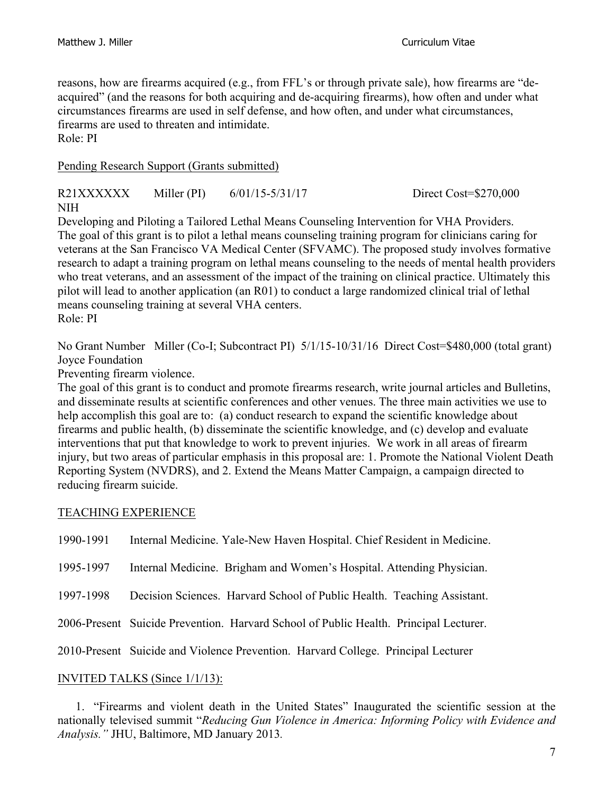reasons, how are firearms acquired (e.g., from FFL's or through private sale), how firearms are "deacquired" (and the reasons for both acquiring and de-acquiring firearms), how often and under what circumstances firearms are used in self defense, and how often, and under what circumstances, firearms are used to threaten and intimidate. Role: PI

Pending Research Support (Grants submitted)

R21XXXXXX Miller (PI) 6/01/15-5/31/17 Direct Cost=\$270,000 NIH

Developing and Piloting a Tailored Lethal Means Counseling Intervention for VHA Providers. The goal of this grant is to pilot a lethal means counseling training program for clinicians caring for veterans at the San Francisco VA Medical Center (SFVAMC). The proposed study involves formative research to adapt a training program on lethal means counseling to the needs of mental health providers who treat veterans, and an assessment of the impact of the training on clinical practice. Ultimately this pilot will lead to another application (an R01) to conduct a large randomized clinical trial of lethal means counseling training at several VHA centers. Role: PI

No Grant Number Miller (Co-I; Subcontract PI) 5/1/15-10/31/16 Direct Cost=\$480,000 (total grant) Joyce Foundation

Preventing firearm violence.

The goal of this grant is to conduct and promote firearms research, write journal articles and Bulletins, and disseminate results at scientific conferences and other venues. The three main activities we use to help accomplish this goal are to: (a) conduct research to expand the scientific knowledge about firearms and public health, (b) disseminate the scientific knowledge, and (c) develop and evaluate interventions that put that knowledge to work to prevent injuries. We work in all areas of firearm injury, but two areas of particular emphasis in this proposal are: 1. Promote the National Violent Death Reporting System (NVDRS), and 2. Extend the Means Matter Campaign, a campaign directed to reducing firearm suicide.

# TEACHING EXPERIENCE

| 1990-1991 | Internal Medicine. Yale-New Haven Hospital. Chief Resident in Medicine.               |
|-----------|---------------------------------------------------------------------------------------|
| 1995-1997 | Internal Medicine. Brigham and Women's Hospital. Attending Physician.                 |
| 1997-1998 | Decision Sciences. Harvard School of Public Health. Teaching Assistant.               |
|           | 2006-Present Suicide Prevention. Harvard School of Public Health. Principal Lecturer. |
|           | 2010-Present Suicide and Violence Prevention. Harvard College. Principal Lecturer     |

# INVITED TALKS (Since 1/1/13):

1. "Firearms and violent death in the United States" Inaugurated the scientific session at the nationally televised summit "*Reducing Gun Violence in America: Informing Policy with Evidence and Analysis."* JHU, Baltimore, MD January 2013*.*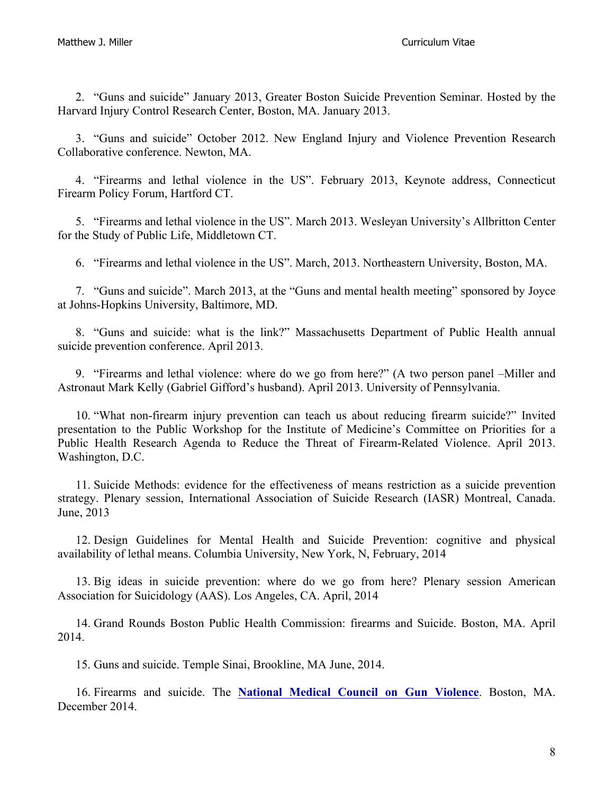2. "Guns and suicide" January 2013, Greater Boston Suicide Prevention Seminar. Hosted by the Harvard Injury Control Research Center, Boston, MA. January 2013.

3. "Guns and suicide" October 2012. New England Injury and Violence Prevention Research Collaborative conference. Newton, MA.

4. "Firearms and lethal violence in the US". February 2013, Keynote address, Connecticut Firearm Policy Forum, Hartford CT.

5. "Firearms and lethal violence in the US". March 2013. Wesleyan University's Allbritton Center for the Study of Public Life, Middletown CT.

6. "Firearms and lethal violence in the US". March, 2013. Northeastern University, Boston, MA.

7. "Guns and suicide". March 2013, at the "Guns and mental health meeting" sponsored by Joyce at Johns-Hopkins University, Baltimore, MD.

8. "Guns and suicide: what is the link?" Massachusetts Department of Public Health annual suicide prevention conference. April 2013.

9. "Firearms and lethal violence: where do we go from here?" (A two person panel –Miller and Astronaut Mark Kelly (Gabriel Gifford's husband). April 2013. University of Pennsylvania.

10. "What non-firearm injury prevention can teach us about reducing firearm suicide?" Invited presentation to the Public Workshop for the Institute of Medicine's Committee on Priorities for a Public Health Research Agenda to Reduce the Threat of Firearm-Related Violence. April 2013. Washington, D.C.

11. Suicide Methods: evidence for the effectiveness of means restriction as a suicide prevention strategy. Plenary session, International Association of Suicide Research (IASR) Montreal, Canada. June, 2013

12. Design Guidelines for Mental Health and Suicide Prevention: cognitive and physical availability of lethal means. Columbia University, New York, N, February, 2014

13. Big ideas in suicide prevention: where do we go from here? Plenary session American Association for Suicidology (AAS). Los Angeles, CA. April, 2014

14. Grand Rounds Boston Public Health Commission: firearms and Suicide. Boston, MA. April 2014.

15. Guns and suicide. Temple Sinai, Brookline, MA June, 2014.

16. Firearms and suicide. The **National Medical Council on Gun Violence**. Boston, MA. December 2014.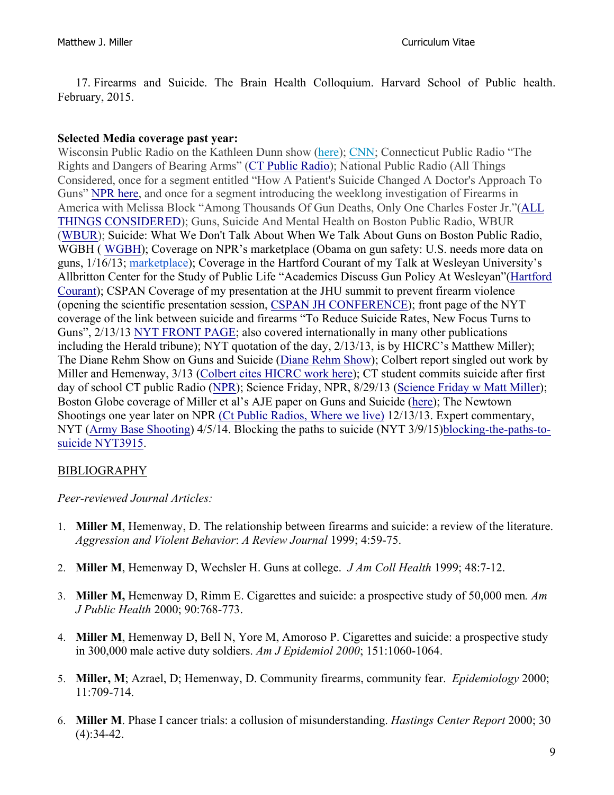17. Firearms and Suicide. The Brain Health Colloquium. Harvard School of Public health. February, 2015.

#### **Selected Media coverage past year:**

Wisconsin Public Radio on the Kathleen Dunn show (here); CNN; Connecticut Public Radio "The Rights and Dangers of Bearing Arms" (CT Public Radio); National Public Radio (All Things Considered, once for a segment entitled "How A Patient's Suicide Changed A Doctor's Approach To Guns" NPR here, and once for a segment introducing the weeklong investigation of Firearms in America with Melissa Block "Among Thousands Of Gun Deaths, Only One Charles Foster Jr."(ALL THINGS CONSIDERED); Guns, Suicide And Mental Health on Boston Public Radio, WBUR (WBUR); Suicide: What We Don't Talk About When We Talk About Guns on Boston Public Radio, WGBH ( WGBH); Coverage on NPR's marketplace (Obama on gun safety: U.S. needs more data on guns, 1/16/13; marketplace); Coverage in the Hartford Courant of my Talk at Wesleyan University's Allbritton Center for the Study of Public Life "Academics Discuss Gun Policy At Wesleyan"(Hartford Courant); CSPAN Coverage of my presentation at the JHU summit to prevent firearm violence (opening the scientific presentation session, CSPAN JH CONFERENCE); front page of the NYT coverage of the link between suicide and firearms "To Reduce Suicide Rates, New Focus Turns to Guns", 2/13/13 NYT FRONT PAGE; also covered internationally in many other publications including the Herald tribune); NYT quotation of the day, 2/13/13, is by HICRC's Matthew Miller); The Diane Rehm Show on Guns and Suicide (Diane Rehm Show); Colbert report singled out work by Miller and Hemenway, 3/13 (Colbert cites HICRC work here); CT student commits suicide after first day of school CT public Radio (NPR); Science Friday, NPR, 8/29/13 (Science Friday w Matt Miller); Boston Globe coverage of Miller et al's AJE paper on Guns and Suicide (here); The Newtown Shootings one year later on NPR (Ct Public Radios, Where we live) 12/13/13. Expert commentary, NYT (Army Base Shooting) 4/5/14. Blocking the paths to suicide (NYT 3/9/15)blocking-the-paths-tosuicide NYT3915.

#### BIBLIOGRAPHY

#### *Peer-reviewed Journal Articles:*

- 1. **Miller M**, Hemenway, D. The relationship between firearms and suicide: a review of the literature. *Aggression and Violent Behavior*: *A Review Journal* 1999; 4:59-75.
- 2. **Miller M**, Hemenway D, Wechsler H. Guns at college. *J Am Coll Health* 1999; 48:7-12.
- 3. **Miller M,** Hemenway D, Rimm E. Cigarettes and suicide: a prospective study of 50,000 men*. Am J Public Health* 2000; 90:768-773.
- 4. **Miller M**, Hemenway D, Bell N, Yore M, Amoroso P. Cigarettes and suicide: a prospective study in 300,000 male active duty soldiers. *Am J Epidemiol 2000*; 151:1060-1064.
- 5. **Miller, M**; Azrael, D; Hemenway, D. Community firearms, community fear. *Epidemiology* 2000; 11:709-714.
- 6. **Miller M**. Phase I cancer trials: a collusion of misunderstanding. *Hastings Center Report* 2000; 30  $(4):34-42.$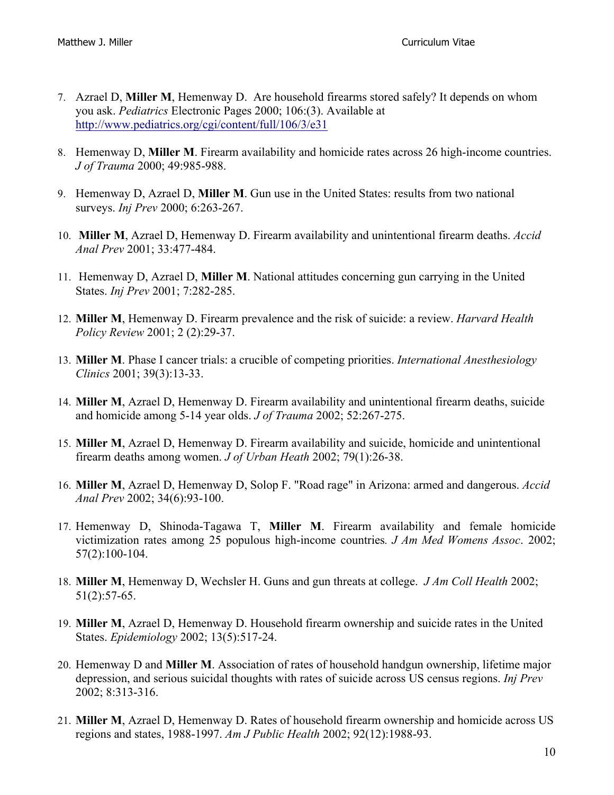- 7. Azrael D, **Miller M**, Hemenway D. Are household firearms stored safely? It depends on whom you ask. *Pediatrics* Electronic Pages 2000; 106:(3). Available at http://www.pediatrics.org/cgi/content/full/106/3/e31
- 8. Hemenway D, **Miller M**. Firearm availability and homicide rates across 26 high-income countries. *J of Trauma* 2000; 49:985-988.
- 9. Hemenway D, Azrael D, **Miller M**. Gun use in the United States: results from two national surveys. *Inj Prev* 2000; 6:263-267.
- 10. **Miller M**, Azrael D, Hemenway D. Firearm availability and unintentional firearm deaths. *Accid Anal Prev* 2001; 33:477-484.
- 11. Hemenway D, Azrael D, **Miller M**. National attitudes concerning gun carrying in the United States. *Inj Prev* 2001; 7:282-285.
- 12. **Miller M**, Hemenway D. Firearm prevalence and the risk of suicide: a review. *Harvard Health Policy Review* 2001; 2 (2):29-37.
- 13. **Miller M**. Phase I cancer trials: a crucible of competing priorities. *International Anesthesiology Clinics* 2001; 39(3):13-33.
- 14. **Miller M**, Azrael D, Hemenway D. Firearm availability and unintentional firearm deaths, suicide and homicide among 5-14 year olds. *J of Trauma* 2002; 52:267-275.
- 15. **Miller M**, Azrael D, Hemenway D. Firearm availability and suicide, homicide and unintentional firearm deaths among women. *J of Urban Heath* 2002; 79(1):26-38.
- 16. **Miller M**, Azrael D, Hemenway D, Solop F. "Road rage" in Arizona: armed and dangerous. *Accid Anal Prev* 2002; 34(6):93-100.
- 17. Hemenway D, Shinoda-Tagawa T, **Miller M**. Firearm availability and female homicide victimization rates among 25 populous high-income countries*. J Am Med Womens Assoc*. 2002; 57(2):100-104.
- 18. **Miller M**, Hemenway D, Wechsler H. Guns and gun threats at college. *J Am Coll Health* 2002; 51(2):57-65.
- 19. **Miller M**, Azrael D, Hemenway D. Household firearm ownership and suicide rates in the United States. *Epidemiology* 2002; 13(5):517-24.
- 20. Hemenway D and **Miller M**. Association of rates of household handgun ownership, lifetime major depression, and serious suicidal thoughts with rates of suicide across US census regions. *Inj Prev* 2002; 8:313-316.
- 21. **Miller M**, Azrael D, Hemenway D. Rates of household firearm ownership and homicide across US regions and states, 1988-1997. *Am J Public Health* 2002; 92(12):1988-93.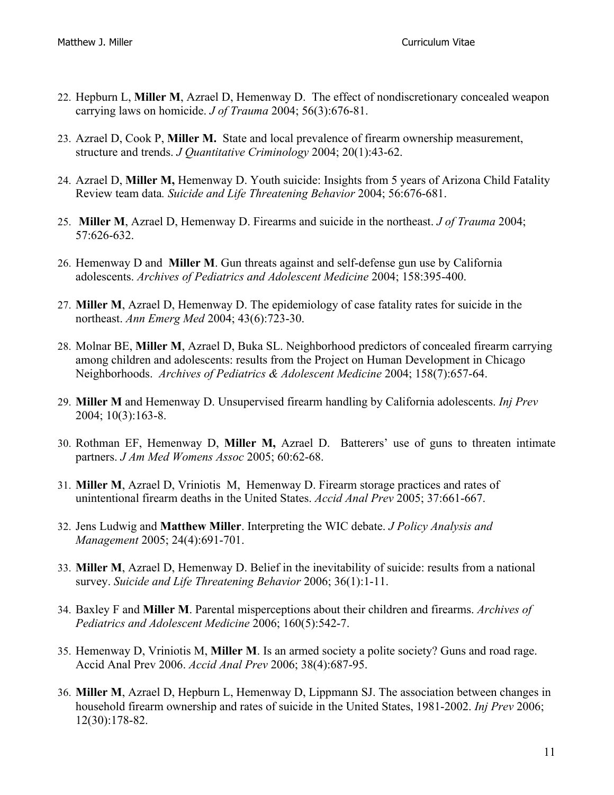- 22. Hepburn L, **Miller M**, Azrael D, Hemenway D. The effect of nondiscretionary concealed weapon carrying laws on homicide. *J of Trauma* 2004; 56(3):676-81.
- 23. Azrael D, Cook P, **Miller M.** State and local prevalence of firearm ownership measurement, structure and trends. *J Quantitative Criminology* 2004; 20(1):43-62.
- 24. Azrael D, **Miller M,** Hemenway D. Youth suicide: Insights from 5 years of Arizona Child Fatality Review team data*. Suicide and Life Threatening Behavior* 2004; 56:676-681.
- 25. **Miller M**, Azrael D, Hemenway D. Firearms and suicide in the northeast. *J of Trauma* 2004; 57:626-632.
- 26. Hemenway D and **Miller M**. Gun threats against and self-defense gun use by California adolescents. *Archives of Pediatrics and Adolescent Medicine* 2004; 158:395-400.
- 27. **Miller M**, Azrael D, Hemenway D. The epidemiology of case fatality rates for suicide in the northeast. *Ann Emerg Med* 2004; 43(6):723-30.
- 28. Molnar BE, **Miller M**, Azrael D, Buka SL. Neighborhood predictors of concealed firearm carrying among children and adolescents: results from the Project on Human Development in Chicago Neighborhoods. *Archives of Pediatrics & Adolescent Medicine* 2004; 158(7):657-64.
- 29. **Miller M** and Hemenway D. Unsupervised firearm handling by California adolescents. *Inj Prev* 2004; 10(3):163-8.
- 30. Rothman EF, Hemenway D, **Miller M,** Azrael D. Batterers' use of guns to threaten intimate partners. *J Am Med Womens Assoc* 2005; 60:62-68.
- 31. **Miller M**, Azrael D, Vriniotis M, Hemenway D. Firearm storage practices and rates of unintentional firearm deaths in the United States. *Accid Anal Prev* 2005; 37:661-667.
- 32. Jens Ludwig and **Matthew Miller**. Interpreting the WIC debate. *J Policy Analysis and Management* 2005; 24(4):691-701.
- 33. **Miller M**, Azrael D, Hemenway D. Belief in the inevitability of suicide: results from a national survey. *Suicide and Life Threatening Behavior* 2006; 36(1):1-11.
- 34. Baxley F and **Miller M**. Parental misperceptions about their children and firearms. *Archives of Pediatrics and Adolescent Medicine* 2006; 160(5):542-7.
- 35. Hemenway D, Vriniotis M, **Miller M**. Is an armed society a polite society? Guns and road rage. Accid Anal Prev 2006. *Accid Anal Prev* 2006; 38(4):687-95.
- 36. **Miller M**, Azrael D, Hepburn L, Hemenway D, Lippmann SJ. The association between changes in household firearm ownership and rates of suicide in the United States, 1981-2002. *Inj Prev* 2006; 12(30):178-82.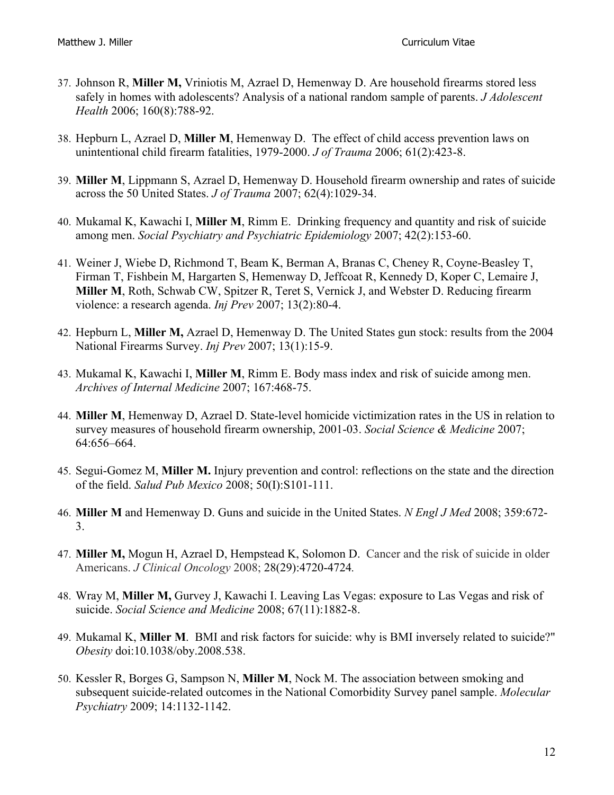- 37. Johnson R, **Miller M,** Vriniotis M, Azrael D, Hemenway D. Are household firearms stored less safely in homes with adolescents? Analysis of a national random sample of parents. *J Adolescent Health* 2006; 160(8):788-92.
- 38. Hepburn L, Azrael D, **Miller M**, Hemenway D. The effect of child access prevention laws on unintentional child firearm fatalities, 1979-2000. *J of Trauma* 2006; 61(2):423-8.
- 39. **Miller M**, Lippmann S, Azrael D, Hemenway D. Household firearm ownership and rates of suicide across the 50 United States. *J of Trauma* 2007; 62(4):1029-34.
- 40. Mukamal K, Kawachi I, **Miller M**, Rimm E. Drinking frequency and quantity and risk of suicide among men. *Social Psychiatry and Psychiatric Epidemiology* 2007; 42(2):153-60.
- 41. Weiner J, Wiebe D, Richmond T, Beam K, Berman A, Branas C, Cheney R, Coyne-Beasley T, Firman T, Fishbein M, Hargarten S, Hemenway D, Jeffcoat R, Kennedy D, Koper C, Lemaire J, **Miller M**, Roth, Schwab CW, Spitzer R, Teret S, Vernick J, and Webster D. Reducing firearm violence: a research agenda. *Inj Prev* 2007; 13(2):80-4.
- 42. Hepburn L, **Miller M,** Azrael D, Hemenway D. The United States gun stock: results from the 2004 National Firearms Survey. *Inj Prev* 2007; 13(1):15-9.
- 43. Mukamal K, Kawachi I, **Miller M**, Rimm E. Body mass index and risk of suicide among men. *Archives of Internal Medicine* 2007; 167:468-75.
- 44. **Miller M**, Hemenway D, Azrael D. State-level homicide victimization rates in the US in relation to survey measures of household firearm ownership, 2001-03. *Social Science & Medicine* 2007; 64:656–664.
- 45. Segui-Gomez M, **Miller M.** Injury prevention and control: reflections on the state and the direction of the field. *Salud Pub Mexico* 2008; 50(I):S101-111.
- 46. **Miller M** and Hemenway D. Guns and suicide in the United States. *N Engl J Med* 2008; 359:672- 3.
- 47. **Miller M,** Mogun H, Azrael D, Hempstead K, Solomon D. Cancer and the risk of suicide in older Americans. *J Clinical Oncology* 2008; 28(29):4720-4724*.*
- 48. Wray M, **Miller M,** Gurvey J, Kawachi I. Leaving Las Vegas: exposure to Las Vegas and risk of suicide. *Social Science and Medicine* 2008; 67(11):1882-8.
- 49. Mukamal K, **Miller M**. BMI and risk factors for suicide: why is BMI inversely related to suicide?" *Obesity* doi:10.1038/oby.2008.538.
- 50. Kessler R, Borges G, Sampson N, **Miller M**, Nock M. The association between smoking and subsequent suicide-related outcomes in the National Comorbidity Survey panel sample. *Molecular Psychiatry* 2009; 14:1132-1142.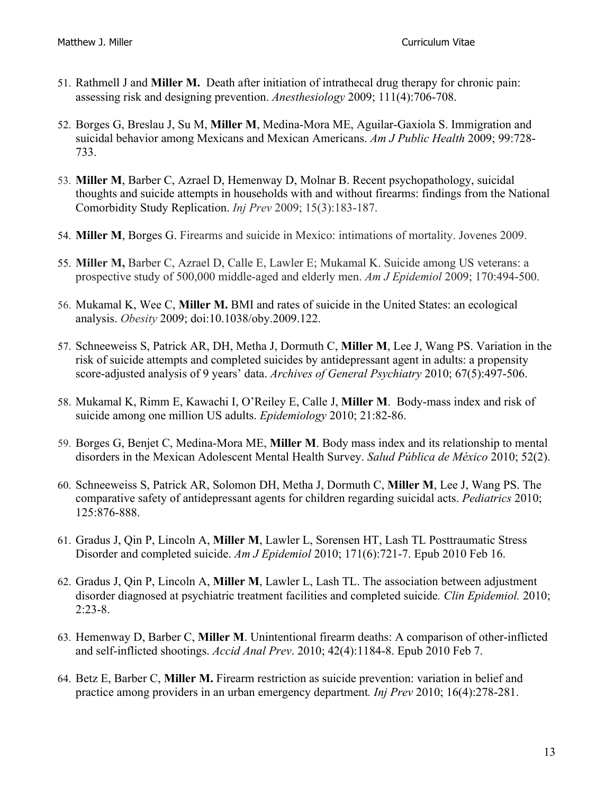- 51. Rathmell J and **Miller M.** Death after initiation of intrathecal drug therapy for chronic pain: assessing risk and designing prevention. *Anesthesiology* 2009; 111(4):706-708.
- 52. Borges G, Breslau J, Su M, **Miller M**, Medina-Mora ME, Aguilar-Gaxiola S. Immigration and suicidal behavior among Mexicans and Mexican Americans. *Am J Public Health* 2009; 99:728- 733.
- 53. **Miller M**, Barber C, Azrael D, Hemenway D, Molnar B. Recent psychopathology, suicidal thoughts and suicide attempts in households with and without firearms: findings from the National Comorbidity Study Replication. *Inj Prev* 2009; 15(3):183-187.
- 54. **Miller M**, Borges G. Firearms and suicide in Mexico: intimations of mortality. Jovenes 2009.
- 55. **Miller M,** Barber C, Azrael D, Calle E, Lawler E; Mukamal K. Suicide among US veterans: a prospective study of 500,000 middle-aged and elderly men. *Am J Epidemiol* 2009; 170:494-500.
- 56. Mukamal K, Wee C, **Miller M.** BMI and rates of suicide in the United States: an ecological analysis. *Obesity* 2009; doi:10.1038/oby.2009.122.
- 57. Schneeweiss S, Patrick AR, DH, Metha J, Dormuth C, **Miller M**, Lee J, Wang PS. Variation in the risk of suicide attempts and completed suicides by antidepressant agent in adults: a propensity score-adjusted analysis of 9 years' data. *Archives of General Psychiatry* 2010; 67(5):497-506.
- 58. Mukamal K, Rimm E, Kawachi I, O'Reiley E, Calle J, **Miller M**. Body-mass index and risk of suicide among one million US adults. *Epidemiology* 2010; 21:82-86.
- 59. Borges G, Benjet C, Medina-Mora ME, **Miller M**. Body mass index and its relationship to mental disorders in the Mexican Adolescent Mental Health Survey. *Salud Pública de México* 2010; 52(2).
- 60. Schneeweiss S, Patrick AR, Solomon DH, Metha J, Dormuth C, **Miller M**, Lee J, Wang PS. The comparative safety of antidepressant agents for children regarding suicidal acts. *Pediatrics* 2010; 125:876-888.
- 61. Gradus J, Qin P, Lincoln A, **Miller M**, Lawler L, Sorensen HT, Lash TL Posttraumatic Stress Disorder and completed suicide. *Am J Epidemiol* 2010; 171(6):721-7. Epub 2010 Feb 16.
- 62. Gradus J, Qin P, Lincoln A, **Miller M**, Lawler L, Lash TL. The association between adjustment disorder diagnosed at psychiatric treatment facilities and completed suicide*. Clin Epidemiol.* 2010; 2:23-8.
- 63. Hemenway D, Barber C, **Miller M**. Unintentional firearm deaths: A comparison of other-inflicted and self-inflicted shootings. *Accid Anal Prev*. 2010; 42(4):1184-8. Epub 2010 Feb 7.
- 64. Betz E, Barber C, **Miller M.** Firearm restriction as suicide prevention: variation in belief and practice among providers in an urban emergency department*. Inj Prev* 2010; 16(4):278-281.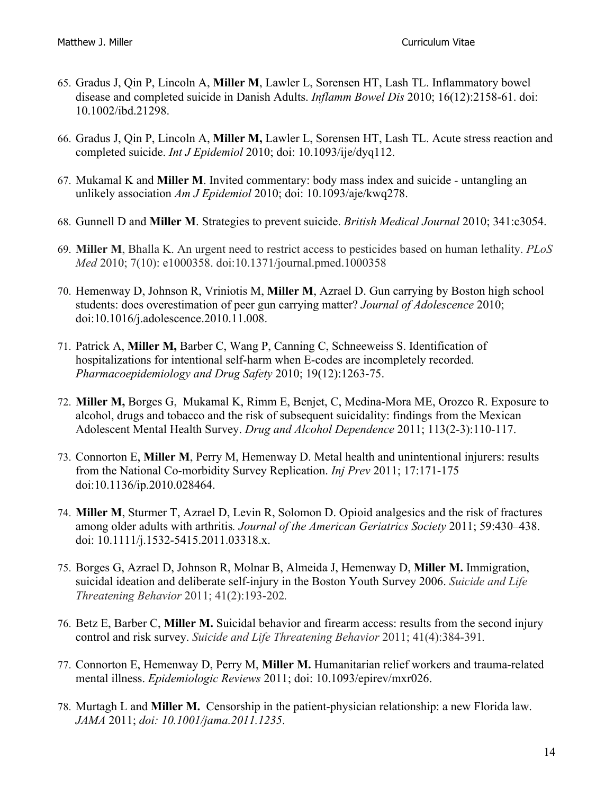- 65. Gradus J, Qin P, Lincoln A, **Miller M**, Lawler L, Sorensen HT, Lash TL. Inflammatory bowel disease and completed suicide in Danish Adults. *Inflamm Bowel Dis* 2010; 16(12):2158-61. doi: 10.1002/ibd.21298.
- 66. Gradus J, Qin P, Lincoln A, **Miller M,** Lawler L, Sorensen HT, Lash TL. Acute stress reaction and completed suicide. *Int J Epidemiol* 2010; doi: 10.1093/ije/dyq112.
- 67. Mukamal K and **Miller M**. Invited commentary: body mass index and suicide untangling an unlikely association *Am J Epidemiol* 2010; doi: 10.1093/aje/kwq278.
- 68. Gunnell D and **Miller M**. Strategies to prevent suicide. *British Medical Journal* 2010; 341:c3054.
- 69. **Miller M**, Bhalla K. An urgent need to restrict access to pesticides based on human lethality. *PLoS Med* 2010; 7(10): e1000358. doi:10.1371/journal.pmed.1000358
- 70. Hemenway D, Johnson R, Vriniotis M, **Miller M**, Azrael D. Gun carrying by Boston high school students: does overestimation of peer gun carrying matter? *Journal of Adolescence* 2010; doi:10.1016/j.adolescence.2010.11.008.
- 71. Patrick A, **Miller M,** Barber C, Wang P, Canning C, Schneeweiss S. Identification of hospitalizations for intentional self-harm when E-codes are incompletely recorded. *Pharmacoepidemiology and Drug Safety* 2010; 19(12):1263-75.
- 72. **Miller M,** Borges G, Mukamal K, Rimm E, Benjet, C, Medina-Mora ME, Orozco R. Exposure to alcohol, drugs and tobacco and the risk of subsequent suicidality: findings from the Mexican Adolescent Mental Health Survey. *Drug and Alcohol Dependence* 2011; 113(2-3):110-117.
- 73. Connorton E, **Miller M**, Perry M, Hemenway D. Metal health and unintentional injurers: results from the National Co-morbidity Survey Replication. *Inj Prev* 2011; 17:171-175 doi:10.1136/ip.2010.028464.
- 74. **Miller M**, Sturmer T, Azrael D, Levin R, Solomon D. Opioid analgesics and the risk of fractures among older adults with arthritis*. Journal of the American Geriatrics Society* 2011; 59:430–438. doi: 10.1111/j.1532-5415.2011.03318.x.
- 75. Borges G, Azrael D, Johnson R, Molnar B, Almeida J, Hemenway D, **Miller M.** Immigration, suicidal ideation and deliberate self-injury in the Boston Youth Survey 2006. *Suicide and Life Threatening Behavior* 2011; 41(2):193-202*.*
- 76. Betz E, Barber C, **Miller M.** Suicidal behavior and firearm access: results from the second injury control and risk survey. *Suicide and Life Threatening Behavior* 2011; 41(4):384-391*.*
- 77. Connorton E, Hemenway D, Perry M, **Miller M.** Humanitarian relief workers and trauma-related mental illness. *Epidemiologic Reviews* 2011; doi: 10.1093/epirev/mxr026.
- 78. Murtagh L and **Miller M.** Censorship in the patient-physician relationship: a new Florida law. *JAMA* 2011; *doi: 10.1001/jama.2011.1235*.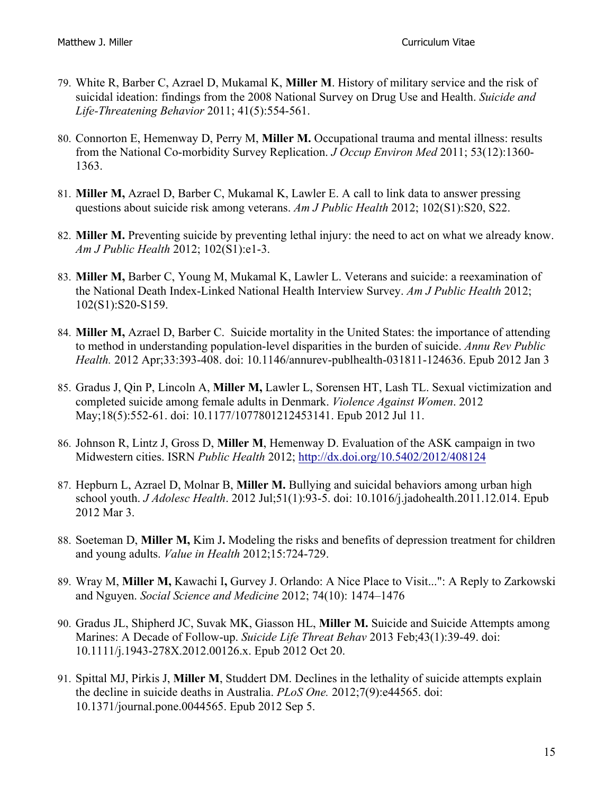- 79. White R, Barber C, Azrael D, Mukamal K, **Miller M**. History of military service and the risk of suicidal ideation: findings from the 2008 National Survey on Drug Use and Health. *Suicide and Life-Threatening Behavior* 2011; 41(5):554-561.
- 80. Connorton E, Hemenway D, Perry M, **Miller M.** Occupational trauma and mental illness: results from the National Co-morbidity Survey Replication. *J Occup Environ Med* 2011; 53(12):1360- 1363.
- 81. **Miller M,** Azrael D, Barber C, Mukamal K, Lawler E. A call to link data to answer pressing questions about suicide risk among veterans. *Am J Public Health* 2012; 102(S1):S20, S22.
- 82. **Miller M.** Preventing suicide by preventing lethal injury: the need to act on what we already know. *Am J Public Health* 2012; 102(S1):e1-3.
- 83. **Miller M,** Barber C, Young M, Mukamal K, Lawler L. Veterans and suicide: a reexamination of the National Death Index-Linked National Health Interview Survey. *Am J Public Health* 2012; 102(S1):S20-S159.
- 84. **Miller M,** Azrael D, Barber C. Suicide mortality in the United States: the importance of attending to method in understanding population-level disparities in the burden of suicide. *Annu Rev Public Health.* 2012 Apr;33:393-408. doi: 10.1146/annurev-publhealth-031811-124636. Epub 2012 Jan 3
- 85. Gradus J, Qin P, Lincoln A, **Miller M,** Lawler L, Sorensen HT, Lash TL. Sexual victimization and completed suicide among female adults in Denmark. *Violence Against Women*. 2012 May;18(5):552-61. doi: 10.1177/1077801212453141. Epub 2012 Jul 11.
- 86. Johnson R, Lintz J, Gross D, **Miller M**, Hemenway D. Evaluation of the ASK campaign in two Midwestern cities. ISRN *Public Health* 2012; http://dx.doi.org/10.5402/2012/408124
- 87. Hepburn L, Azrael D, Molnar B, **Miller M.** Bullying and suicidal behaviors among urban high school youth. *J Adolesc Health*. 2012 Jul;51(1):93-5. doi: 10.1016/j.jadohealth.2011.12.014. Epub 2012 Mar 3.
- 88. Soeteman D, **Miller M,** Kim J**.** Modeling the risks and benefits of depression treatment for children and young adults. *Value in Health* 2012;15:724-729.
- 89. Wray M, **Miller M,** Kawachi I**,** Gurvey J. Orlando: A Nice Place to Visit...": A Reply to Zarkowski and Nguyen. *Social Science and Medicine* 2012; 74(10): 1474–1476
- 90. Gradus JL, Shipherd JC, Suvak MK, Giasson HL, **Miller M.** Suicide and Suicide Attempts among Marines: A Decade of Follow-up. *Suicide Life Threat Behav* 2013 Feb;43(1):39-49. doi: 10.1111/j.1943-278X.2012.00126.x. Epub 2012 Oct 20.
- 91. Spittal MJ, Pirkis J, **Miller M**, Studdert DM. Declines in the lethality of suicide attempts explain the decline in suicide deaths in Australia. *PLoS One.* 2012;7(9):e44565. doi: 10.1371/journal.pone.0044565. Epub 2012 Sep 5.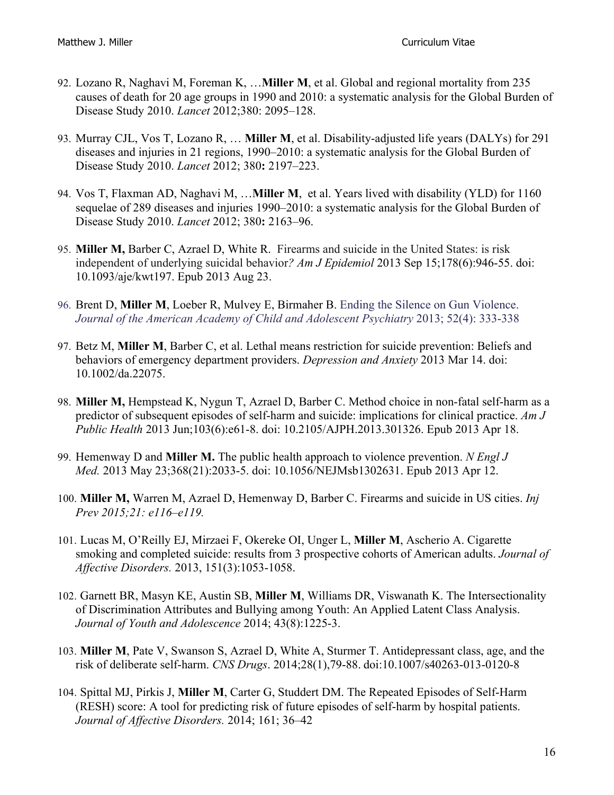- 92. Lozano R, Naghavi M, Foreman K, …**Miller M**, et al. Global and regional mortality from 235 causes of death for 20 age groups in 1990 and 2010: a systematic analysis for the Global Burden of Disease Study 2010. *Lancet* 2012;380: 2095–128.
- 93. Murray CJL, Vos T, Lozano R, … **Miller M**, et al. Disability-adjusted life years (DALYs) for 291 diseases and injuries in 21 regions, 1990–2010: a systematic analysis for the Global Burden of Disease Study 2010. *Lancet* 2012; 380**:** 2197–223.
- 94. Vos T, Flaxman AD, Naghavi M, …**Miller M**, et al. Years lived with disability (YLD) for 1160 sequelae of 289 diseases and injuries 1990–2010: a systematic analysis for the Global Burden of Disease Study 2010. *Lancet* 2012; 380**:** 2163–96.
- 95. **Miller M,** Barber C, Azrael D, White R. Firearms and suicide in the United States: is risk independent of underlying suicidal behavior*? Am J Epidemiol* 2013 Sep 15;178(6):946-55. doi: 10.1093/aje/kwt197. Epub 2013 Aug 23.
- 96. Brent D, **Miller M**, Loeber R, Mulvey E, Birmaher B. Ending the Silence on Gun Violence. *Journal of the American Academy of Child and Adolescent Psychiatry* 2013; 52(4): 333-338
- 97. Betz M, **Miller M**, Barber C, et al. Lethal means restriction for suicide prevention: Beliefs and behaviors of emergency department providers. *Depression and Anxiety* 2013 Mar 14. doi: 10.1002/da.22075.
- 98. **Miller M,** Hempstead K, Nygun T, Azrael D, Barber C. Method choice in non-fatal self-harm as a predictor of subsequent episodes of self-harm and suicide: implications for clinical practice. *Am J Public Health* 2013 Jun;103(6):e61-8. doi: 10.2105/AJPH.2013.301326. Epub 2013 Apr 18.
- 99. Hemenway D and **Miller M.** The public health approach to violence prevention. *N Engl J Med.* 2013 May 23;368(21):2033-5. doi: 10.1056/NEJMsb1302631. Epub 2013 Apr 12.
- 100. **Miller M,** Warren M, Azrael D, Hemenway D, Barber C. Firearms and suicide in US cities. *Inj Prev 2015;21: e116–e119.*
- 101. Lucas M, O'Reilly EJ, Mirzaei F, Okereke OI, Unger L, **Miller M**, Ascherio A. Cigarette smoking and completed suicide: results from 3 prospective cohorts of American adults. *Journal of Affective Disorders.* 2013, 151(3):1053-1058.
- 102. Garnett BR, Masyn KE, Austin SB, **Miller M**, Williams DR, Viswanath K. The Intersectionality of Discrimination Attributes and Bullying among Youth: An Applied Latent Class Analysis. *Journal of Youth and Adolescence* 2014; 43(8):1225-3.
- 103. **Miller M**, Pate V, Swanson S, Azrael D, White A, Sturmer T. Antidepressant class, age, and the risk of deliberate self-harm. *CNS Drugs*. 2014;28(1),79-88. doi:10.1007/s40263-013-0120-8
- 104. Spittal MJ, Pirkis J, **Miller M**, Carter G, Studdert DM. The Repeated Episodes of Self-Harm (RESH) score: A tool for predicting risk of future episodes of self-harm by hospital patients. *Journal of Affective Disorders.* 2014; 161; 36–42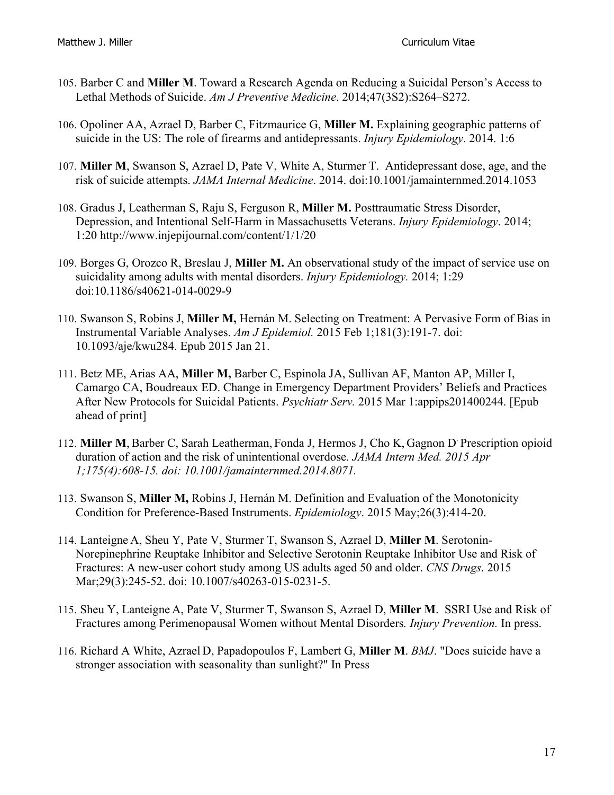- 105. Barber C and **Miller M**. Toward a Research Agenda on Reducing a Suicidal Person's Access to Lethal Methods of Suicide. *Am J Preventive Medicine*. 2014;47(3S2):S264–S272.
- 106. Opoliner AA, Azrael D, Barber C, Fitzmaurice G, **Miller M.** Explaining geographic patterns of suicide in the US: The role of firearms and antidepressants. *Injury Epidemiology*. 2014. 1:6
- 107. **Miller M**, Swanson S, Azrael D, Pate V, White A, Sturmer T. Antidepressant dose, age, and the risk of suicide attempts. *JAMA Internal Medicine*. 2014. doi:10.1001/jamainternmed.2014.1053
- 108. Gradus J, Leatherman S, Raju S, Ferguson R, **Miller M.** Posttraumatic Stress Disorder, Depression, and Intentional Self-Harm in Massachusetts Veterans. *Injury Epidemiology*. 2014; 1:20 http://www.injepijournal.com/content/1/1/20
- 109. Borges G, Orozco R, Breslau J, **Miller M.** An observational study of the impact of service use on suicidality among adults with mental disorders. *Injury Epidemiology.* 2014; 1:29 doi:10.1186/s40621-014-0029-9
- 110. Swanson S, Robins J, **Miller M,** Hernán M. Selecting on Treatment: A Pervasive Form of Bias in Instrumental Variable Analyses. *Am J Epidemiol.* 2015 Feb 1;181(3):191-7. doi: 10.1093/aje/kwu284. Epub 2015 Jan 21.
- 111. Betz ME, Arias AA, **Miller M,** Barber C, Espinola JA, Sullivan AF, Manton AP, Miller I, Camargo CA, Boudreaux ED. Change in Emergency Department Providers' Beliefs and Practices After New Protocols for Suicidal Patients. *Psychiatr Serv.* 2015 Mar 1:appips201400244. [Epub ahead of print]
- 112. **Miller M**,Barber C, Sarah Leatherman, Fonda J, Hermos J, Cho K, Gagnon D. Prescription opioid duration of action and the risk of unintentional overdose. *JAMA Intern Med. 2015 Apr 1;175(4):608-15. doi: 10.1001/jamainternmed.2014.8071.*
- 113. Swanson S, **Miller M,** Robins J, Hernán M. Definition and Evaluation of the Monotonicity Condition for Preference-Based Instruments. *Epidemiology*. 2015 May;26(3):414-20.
- 114. Lanteigne A, Sheu Y, Pate V, Sturmer T, Swanson S, Azrael D, **Miller M**. Serotonin-Norepinephrine Reuptake Inhibitor and Selective Serotonin Reuptake Inhibitor Use and Risk of Fractures: A new-user cohort study among US adults aged 50 and older. *CNS Drugs*. 2015 Mar;29(3):245-52. doi: 10.1007/s40263-015-0231-5.
- 115. Sheu Y, Lanteigne A, Pate V, Sturmer T, Swanson S, Azrael D, **Miller M**. SSRI Use and Risk of Fractures among Perimenopausal Women without Mental Disorders*. Injury Prevention.* In press.
- 116. Richard A White, Azrael D, Papadopoulos F, Lambert G, **Miller M**. *BMJ*. "Does suicide have a stronger association with seasonality than sunlight?" In Press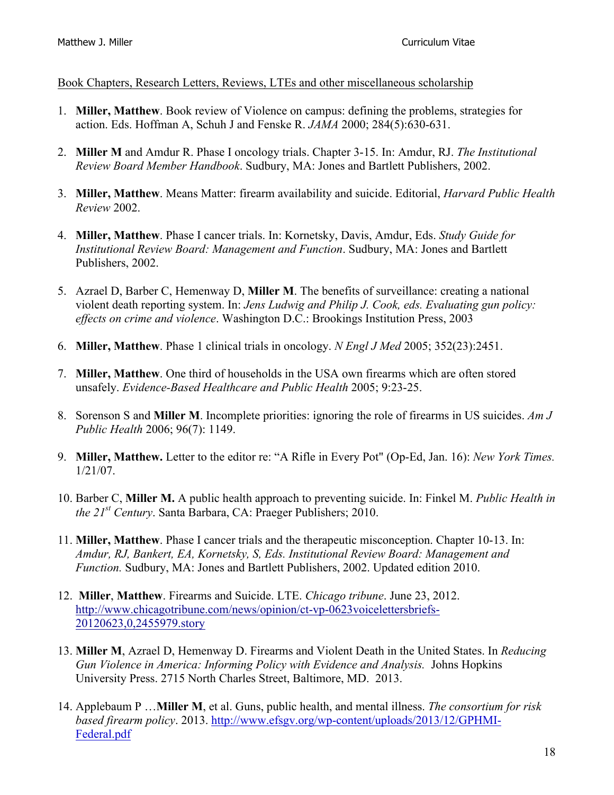#### Book Chapters, Research Letters, Reviews, LTEs and other miscellaneous scholarship

- 1. **Miller, Matthew**. Book review of Violence on campus: defining the problems, strategies for action. Eds. Hoffman A, Schuh J and Fenske R. *JAMA* 2000; 284(5):630-631.
- 2. **Miller M** and Amdur R. Phase I oncology trials. Chapter 3-15. In: Amdur, RJ. *The Institutional Review Board Member Handbook*. Sudbury, MA: Jones and Bartlett Publishers, 2002.
- 3. **Miller, Matthew**. Means Matter: firearm availability and suicide. Editorial, *Harvard Public Health Review* 2002.
- 4. **Miller, Matthew**. Phase I cancer trials. In: Kornetsky, Davis, Amdur, Eds. *Study Guide for Institutional Review Board: Management and Function*. Sudbury, MA: Jones and Bartlett Publishers, 2002.
- 5. Azrael D, Barber C, Hemenway D, **Miller M**. The benefits of surveillance: creating a national violent death reporting system. In: *Jens Ludwig and Philip J. Cook, eds. Evaluating gun policy: effects on crime and violence*. Washington D.C.: Brookings Institution Press, 2003
- 6. **Miller, Matthew**. Phase 1 clinical trials in oncology. *N Engl J Med* 2005; 352(23):2451.
- 7. **Miller, Matthew**. One third of households in the USA own firearms which are often stored unsafely. *Evidence-Based Healthcare and Public Health* 2005; 9:23-25.
- 8. Sorenson S and **Miller M**. Incomplete priorities: ignoring the role of firearms in US suicides. *Am J Public Health* 2006; 96(7): 1149.
- 9. **Miller, Matthew.** Letter to the editor re: "A Rifle in Every Pot" (Op-Ed, Jan. 16): *New York Times.* 1/21/07.
- 10. Barber C, **Miller M.** A public health approach to preventing suicide. In: Finkel M. *Public Health in the 21st Century*. Santa Barbara, CA: Praeger Publishers; 2010.
- 11. **Miller, Matthew**. Phase I cancer trials and the therapeutic misconception. Chapter 10-13. In: *Amdur, RJ, Bankert, EA, Kornetsky, S, Eds. Institutional Review Board: Management and Function.* Sudbury, MA: Jones and Bartlett Publishers, 2002. Updated edition 2010.
- 12. **Miller**, **Matthew**. Firearms and Suicide. LTE. *Chicago tribune*. June 23, 2012. http://www.chicagotribune.com/news/opinion/ct-vp-0623voicelettersbriefs-20120623,0,2455979.story
- 13. **Miller M**, Azrael D, Hemenway D. Firearms and Violent Death in the United States. In *Reducing Gun Violence in America: Informing Policy with Evidence and Analysis.* Johns Hopkins University Press. 2715 North Charles Street, Baltimore, MD. 2013.
- 14. Applebaum P …**Miller M**, et al. Guns, public health, and mental illness. *The consortium for risk based firearm policy*. 2013. http://www.efsgv.org/wp-content/uploads/2013/12/GPHMI-Federal.pdf